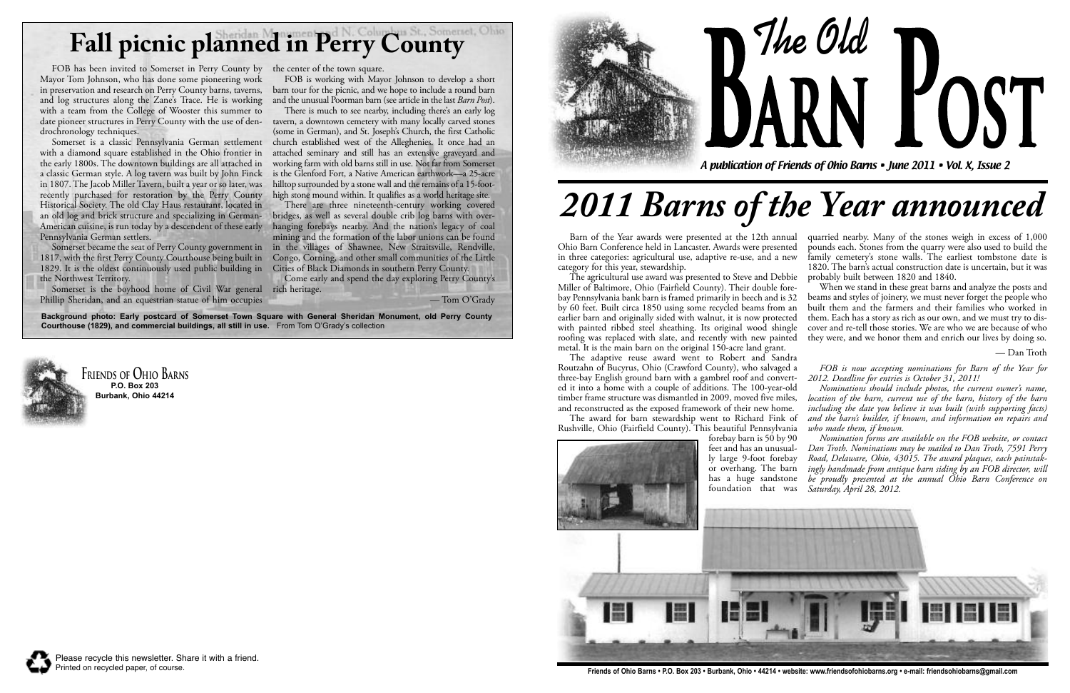Barn of the Year awards were presented at the 12th annual Ohio Barn Conference held in Lancaster. Awards were presented in three categories: agricultural use, adaptive re-use, and a new category for this year, stewardship. The agricultural use award was presented to Steve and Debbie quarried nearby. Many of the stones weigh in excess of 1,000 pounds each. Stones from the quarry were also used to build the family cemetery's stone walls. The earliest tombstone date is 1820. The barn's actual construction date is uncertain, but it was probably built between 1820 and 1840.

The adaptive reuse award went to Robert and Sandra Routzahn of Bucyrus, Ohio (Crawford County), who salvaged a three-bay English ground barn with a gambrel roof and converted it into a home with a couple of additions. The 100-year-old timber frame structure was dismantled in 2009, moved five miles, and reconstructed as the exposed framework of their new home.

Miller of Baltimore, Ohio (Fairfield County). Their double forebay Pennsylvania bank barn is framed primarily in beech and is 32 by 60 feet. Built circa 1850 using some recycled beams from an earlier barn and originally sided with walnut, it is now protected with painted ribbed steel sheathing. Its original wood shingle roofing was replaced with slate, and recently with new painted metal. It is the main barn on the original 150-acre land grant. When we stand in these great barns and analyze the posts and beams and styles of joinery, we must never forget the people who built them and the farmers and their families who worked in them. Each has a story as rich as our own, and we must try to discover and re-tell those stories. We are who we are because of who they were, and we honor them and enrich our lives by doing so.

The award for barn stewardship went to Richard Fink of Rushville, Ohio (Fairfield County). This beautiful Pennsylvania

**The Old BARN LOST** 



— Dan Troth

*FOB is now accepting nominations for Barn of the Year for 2012. Deadline for entries is October 31, 2011!*

*Nominations should include photos, the current owner's name, location of the barn, current use of the barn, history of the barn including the date you believe it was built (with supporting facts) and the barn's builder, if known, and information on repairs and who made them, if known.*

*Nomination forms are available on the FOB website, or contact*

There is much to see nearby, including there's an early log (some in German), and St. Joseph's Church, the first Catholic church established west of the Alleghenies. It once had an attached seminary and still has an extensive graveyard and working farm with old barns still in use. Not far from Somerset is the Glenford Fort, a Native American earthwork—a 25-acre hilltop surrounded by a stone wall and the remains of a 15-foothigh stone mound within. It qualifies as a world heritage site.

A publication of Friends of Ohio Barns • June 2011 • Vol. X, Issue 2

**Friends of Ohio Barns P.O. Box 203 Burbank, Ohio 44214**



Please recycle this newsletter. Share it with a friend.

Printed on recycled paper, of course. **Friends of Ohio Barns • P.O. Box 203 • Burbank, Ohio • 44214 • website: www.friendsofohiobarns.org • e-mail: friendsohiobarns@gmail.com**

# *2011 Barns of the Year announced*

# **Fall picnic planned in Perry County**

**Background photo: Early postcard of Somerset Town Square with General Sheridan Monument, old Perry County Courthouse (1829), and commercial buildings, all still in use.** From Tom O'Grady's collection



FOB has been invited to Somerset in Perry County by the center of the town square. Mayor Tom Johnson, who has done some pioneering work in preservation and research on Perry County barns, taverns, and log structures along the Zane's Trace. He is working with a team from the College of Wooster this summer to date pioneer structures in Perry County with the use of den-tavern, a downtown cemetery with many locally carved stones drochronology techniques.

Somerset is a classic Pennsylvania German settlement with a diamond square established in the Ohio frontier in the early 1800s. The downtown buildings are all attached in a classic German style. A log tavern was built by John Finck in 1807. The Jacob Miller Tavern, built a year or so later, was recently purchased for restoration by the Perry County Historical Society. The old Clay Haus restaurant, located in an old log and brick structure and specializing in German-American cuisine, is run today by a descendent of these early Pennsylvania German settlers.

1817, with the first Perry County Courthouse being built in 1829. It is the oldest continuously used public building in the Northwest Territory.

Somerset is the boyhood home of Civil War general rich heritage. Phillip Sheridan, and an equestrian statue of him occupies

FOB is working with Mayor Johnson to develop a short barn tour for the picnic, and we hope to include a round barn and the unusual Poorman barn (see article in the last *Barn Post*).

Somerset became the seat of Perry County government in in the villages of Shawnee, New Straitsville, Rendville, There are three nineteenth-century working covered bridges, as well as several double crib log barns with overhanging forebays nearby. And the nation's legacy of coal mining and the formation of the labor unions can be found Congo, Corning, and other small communities of the Little Cities of Black Diamonds in southern Perry County.

Come early and spend the day exploring Perry County's

— Tom O'Grady